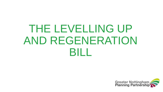# THE LEVELLING UP AND REGENERATION **BILL**

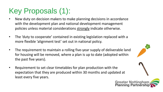### Key Proposals (1):

- New duty on decision makers to make planning decisions in accordance with the development plan and national development management policies unless material considerations strongly indicate otherwise.
- The 'duty to cooperate' contained in existing legislation replaced with a more flexible 'alignment test' set out in national policy.
- The requirement to maintain a rolling five-year supply of deliverable land for housing will be removed, where a plan is up to date (adopted within the past five years).
- Requirement to set clear timetables for plan production with the expectation that they are produced within 30 months and updated at least every five years.



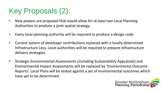#### Key Proposals (2):

- New powers are proposed that would allow for at least two Local Planning Authorities to produce a joint spatial strategy.
- Every local planning authority will be required to produce a design code.
- Current system of developer contributions replaced with a locally determined Infrastructure Levy. Local authorities will be required to prepare infrastructure delivery strategies.
- Strategic Environmental Assessments (including Sustainability Appraisals) and Environmental Impact Assessments will be replaced by 'Environmental Outcome Reports'. Local Plans will be tested against a set of environmental outcomes which have yet to be determined.

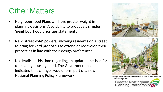#### Other Matters

- Neighbourhood Plans will have greater weight in planning decisions. Also ability to produce a simpler 'neighbourhood priorities statement'.
- New 'street vote' powers, allowing residents on a street to bring forward proposals to extend or redevelop their properties in line with their design preferences.
- No details at this time regarding an updated method for calculating housing need. The Government has indicated that changes would form part of a new National Planning Policy Framework.



Strong Suburbs - Enabling streets to control their own development (Policy Exchange, 2021)